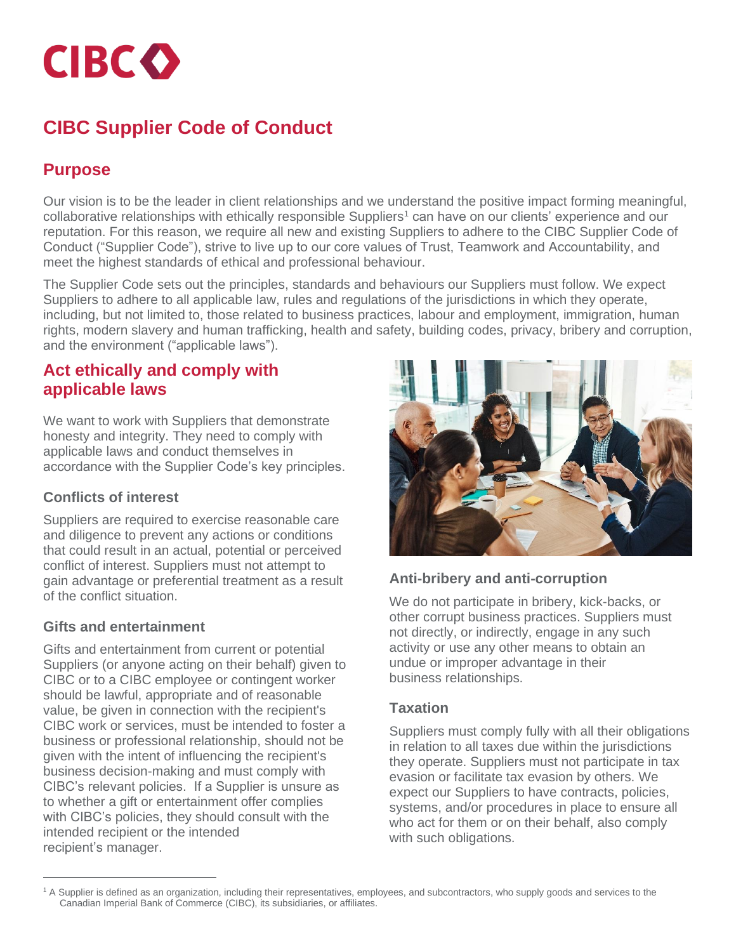**CIBCO** 

# **CIBC Supplier Code of Conduct**

## **Purpose**

Our vision is to be the leader in client relationships and we understand the positive impact forming meaningful, collaborative relationships with ethically responsible Suppliers<sup>1</sup> can have on our clients' experience and our reputation. For this reason, we require all new and existing Suppliers to adhere to the CIBC Supplier Code of Conduct ("Supplier Code"), strive to live up to our core values of Trust, Teamwork and Accountability, and meet the highest standards of ethical and professional behaviour.

The Supplier Code sets out the principles, standards and behaviours our Suppliers must follow. We expect Suppliers to adhere to all applicable law, rules and regulations of the jurisdictions in which they operate, including, but not limited to, those related to business practices, labour and employment, immigration, human rights, modern slavery and human trafficking, health and safety, building codes, privacy, bribery and corruption, and the environment ("applicable laws").

## **Act ethically and comply with applicable laws**

We want to work with Suppliers that demonstrate honesty and integrity. They need to comply with applicable laws and conduct themselves in accordance with the Supplier Code's key principles.

#### **Conflicts of interest**

Suppliers are required to exercise reasonable care and diligence to prevent any actions or conditions that could result in an actual, potential or perceived conflict of interest. Suppliers must not attempt to gain advantage or preferential treatment as a result of the conflict situation.

#### **Gifts and entertainment**

Gifts and entertainment from current or potential Suppliers (or anyone acting on their behalf) given to CIBC or to a CIBC employee or contingent worker should be lawful, appropriate and of reasonable value, be given in connection with the recipient's CIBC work or services, must be intended to foster a business or professional relationship, should not be given with the intent of influencing the recipient's business decision-making and must comply with CIBC's relevant policies. If a Supplier is unsure as to whether a gift or entertainment offer complies with CIBC's policies, they should consult with the intended recipient or the intended recipient's manager.



#### **Anti-bribery and anti-corruption**

We do not participate in bribery, kick-backs, or other corrupt business practices. Suppliers must not directly, or indirectly, engage in any such activity or use any other means to obtain an undue or improper advantage in their business relationships.

#### **Taxation**

Suppliers must comply fully with all their obligations in relation to all taxes due within the jurisdictions they operate. Suppliers must not participate in tax evasion or facilitate tax evasion by others. We expect our Suppliers to have contracts, policies, systems, and/or procedures in place to ensure all who act for them or on their behalf, also comply with such obligations.

<sup>1</sup> A Supplier is defined as an organization, including their representatives, employees, and subcontractors, who supply goods and services to the Canadian Imperial Bank of Commerce (CIBC), its subsidiaries, or affiliates.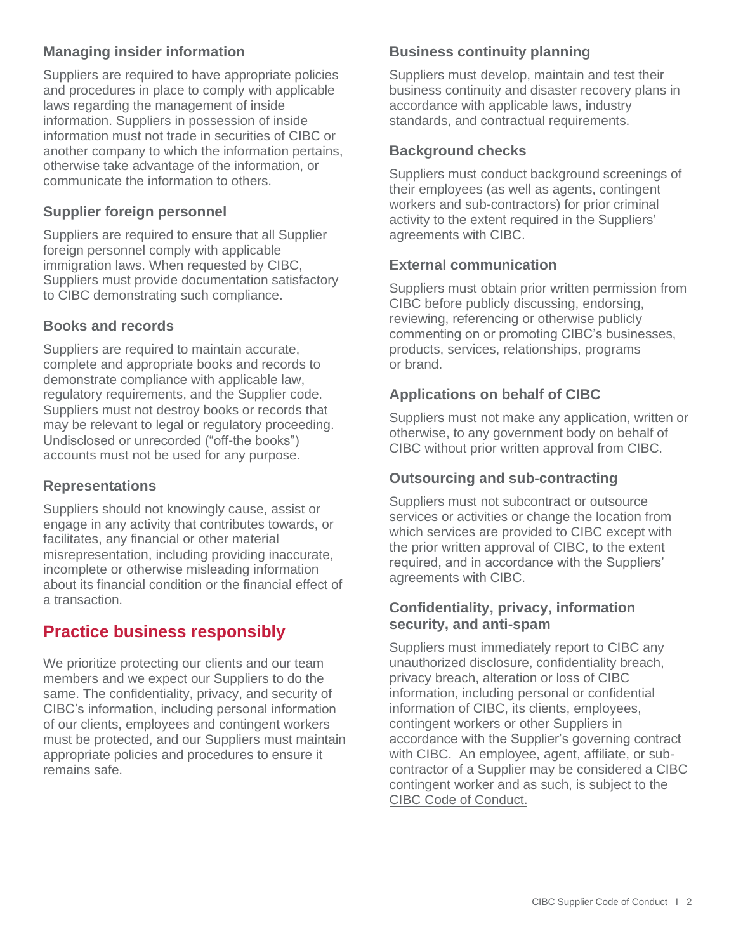#### **Managing insider information**

Suppliers are required to have appropriate policies and procedures in place to comply with applicable laws regarding the management of inside information. Suppliers in possession of inside information must not trade in securities of CIBC or another company to which the information pertains, otherwise take advantage of the information, or communicate the information to others.

#### **Supplier foreign personnel**

Suppliers are required to ensure that all Supplier foreign personnel comply with applicable immigration laws. When requested by CIBC, Suppliers must provide documentation satisfactory to CIBC demonstrating such compliance.

#### **Books and records**

Suppliers are required to maintain accurate, complete and appropriate books and records to demonstrate compliance with applicable law, regulatory requirements, and the Supplier code. Suppliers must not destroy books or records that may be relevant to legal or regulatory proceeding. Undisclosed or unrecorded ("off-the books") accounts must not be used for any purpose.

#### **Representations**

Suppliers should not knowingly cause, assist or engage in any activity that contributes towards, or facilitates, any financial or other material misrepresentation, including providing inaccurate, incomplete or otherwise misleading information about its financial condition or the financial effect of a transaction.

## **Practice business responsibly**

We prioritize protecting our clients and our team members and we expect our Suppliers to do the same. The confidentiality, privacy, and security of CIBC's information, including personal information of our clients, employees and contingent workers must be protected, and our Suppliers must maintain appropriate policies and procedures to ensure it remains safe.

#### **Business continuity planning**

Suppliers must develop, maintain and test their business continuity and disaster recovery plans in accordance with applicable laws, industry standards, and contractual requirements.

#### **Background checks**

Suppliers must conduct background screenings of their employees (as well as agents, contingent workers and sub-contractors) for prior criminal activity to the extent required in the Suppliers' agreements with CIBC.

#### **External communication**

Suppliers must obtain prior written permission from CIBC before publicly discussing, endorsing, reviewing, referencing or otherwise publicly commenting on or promoting CIBC's businesses, products, services, relationships, programs or brand.

#### **Applications on behalf of CIBC**

Suppliers must not make any application, written or otherwise, to any government body on behalf of CIBC without prior written approval from CIBC.

#### **Outsourcing and sub-contracting**

Suppliers must not subcontract or outsource services or activities or change the location from which services are provided to CIBC except with the prior written approval of CIBC, to the extent required, and in accordance with the Suppliers' agreements with CIBC.

#### **Confidentiality, privacy, information security, and anti-spam**

Suppliers must immediately report to CIBC any unauthorized disclosure, confidentiality breach, privacy breach, alteration or loss of CIBC information, including personal or confidential information of CIBC, its clients, employees, contingent workers or other Suppliers in accordance with the Supplier's governing contract with CIBC. An employee, agent, affiliate, or subcontractor of a Supplier may be considered a CIBC contingent worker and as such, is subject to the [CIBC Code of Conduct.](https://www.cibc.com/en/about-cibc/corporate-governance/practices/code-of-conduct.html)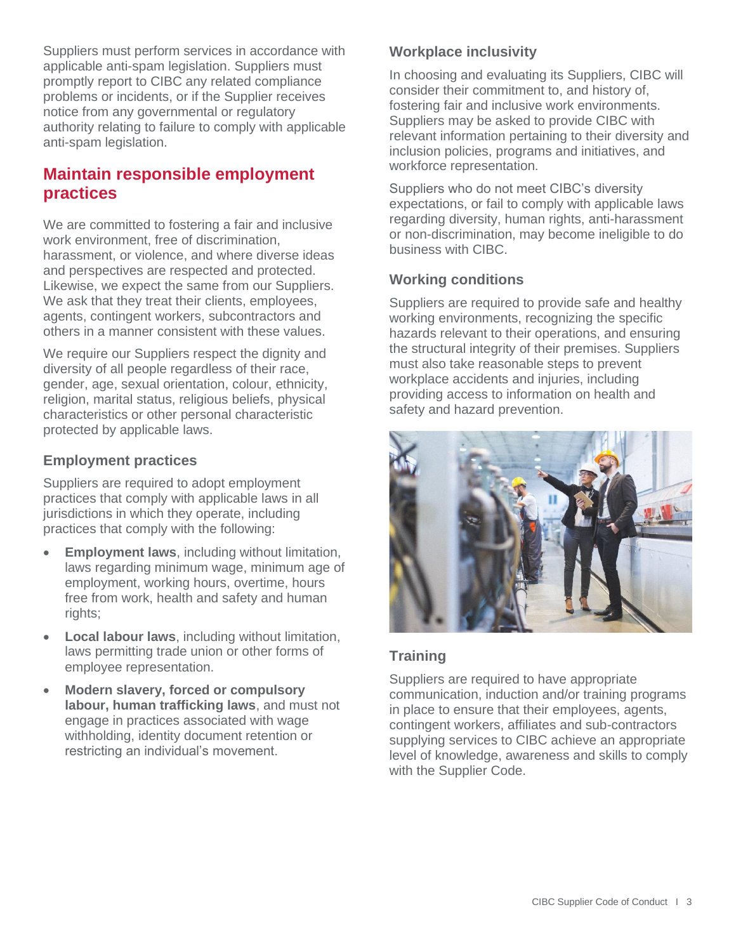Suppliers must perform services in accordance with applicable anti-spam legislation. Suppliers must promptly report to CIBC any related compliance problems or incidents, or if the Supplier receives notice from any governmental or regulatory authority relating to failure to comply with applicable anti-spam legislation.

## **Maintain responsible employment practices**

We are committed to fostering a fair and inclusive work environment, free of discrimination, harassment, or violence, and where diverse ideas and perspectives are respected and protected. Likewise, we expect the same from our Suppliers. We ask that they treat their clients, employees, agents, contingent workers, subcontractors and others in a manner consistent with these values.

We require our Suppliers respect the dignity and diversity of all people regardless of their race, gender, age, sexual orientation, colour, ethnicity, religion, marital status, religious beliefs, physical characteristics or other personal characteristic protected by applicable laws.

#### **Employment practices**

Suppliers are required to adopt employment practices that comply with applicable laws in all jurisdictions in which they operate, including practices that comply with the following:

- **Employment laws**, including without limitation, laws regarding minimum wage, minimum age of employment, working hours, overtime, hours free from work, health and safety and human rights;
- **Local labour laws**, including without limitation, laws permitting trade union or other forms of employee representation.
- **Modern slavery, forced or compulsory labour, human trafficking laws**, and must not engage in practices associated with wage withholding, identity document retention or restricting an individual's movement.

### **Workplace inclusivity**

In choosing and evaluating its Suppliers, CIBC will consider their commitment to, and history of, fostering fair and inclusive work environments. Suppliers may be asked to provide CIBC with relevant information pertaining to their diversity and inclusion policies, programs and initiatives, and workforce representation.

Suppliers who do not meet CIBC's diversity expectations, or fail to comply with applicable laws regarding diversity, human rights, anti-harassment or non-discrimination, may become ineligible to do business with CIBC.

#### **Working conditions**

Suppliers are required to provide safe and healthy working environments, recognizing the specific hazards relevant to their operations, and ensuring the structural integrity of their premises. Suppliers must also take reasonable steps to prevent workplace accidents and injuries, including providing access to information on health and safety and hazard prevention.



#### **Training**

Suppliers are required to have appropriate communication, induction and/or training programs in place to ensure that their employees, agents, contingent workers, affiliates and sub-contractors supplying services to CIBC achieve an appropriate level of knowledge, awareness and skills to comply with the Supplier Code.